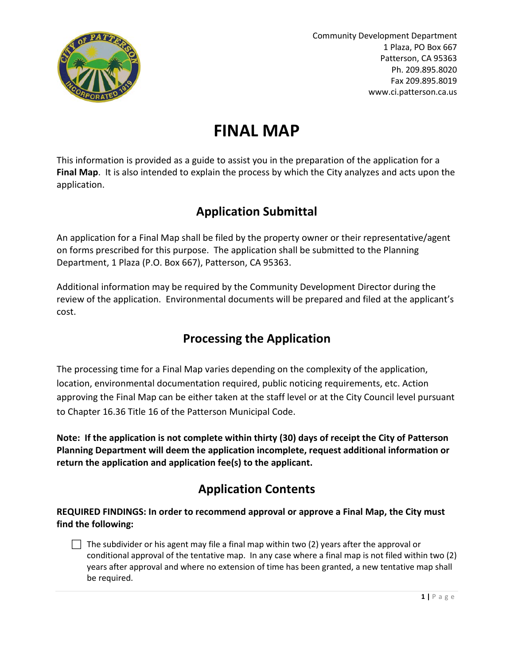

# **FINAL MAP**

This information is provided as a guide to assist you in the preparation of the application for a **Final Map**. It is also intended to explain the process by which the City analyzes and acts upon the application.

# **Application Submittal**

An application for a Final Map shall be filed by the property owner or their representative/agent on forms prescribed for this purpose. The application shall be submitted to the Planning Department, 1 Plaza (P.O. Box 667), Patterson, CA 95363.

Additional information may be required by the Community Development Director during the review of the application. Environmental documents will be prepared and filed at the applicant's cost.

## **Processing the Application**

The processing time for a Final Map varies depending on the complexity of the application, location, environmental documentation required, public noticing requirements, etc. Action approving the Final Map can be either taken at the staff level or at the City Council level pursuant to Chapter 16.36 Title 16 of the Patterson Municipal Code.

**Note: If the application is not complete within thirty (30) days of receipt the City of Patterson Planning Department will deem the application incomplete, request additional information or return the application and application fee(s) to the applicant.**

# **Application Contents**

**REQUIRED FINDINGS: In order to recommend approval or approve a Final Map, the City must find the following:**

 $\Box$  The subdivider or his agent may file a final map within two (2) years after the approval or conditional approval of the tentative map. In any case where a final map is not filed within two (2) years after approval and where no extension of time has been granted, a new tentative map shall be required.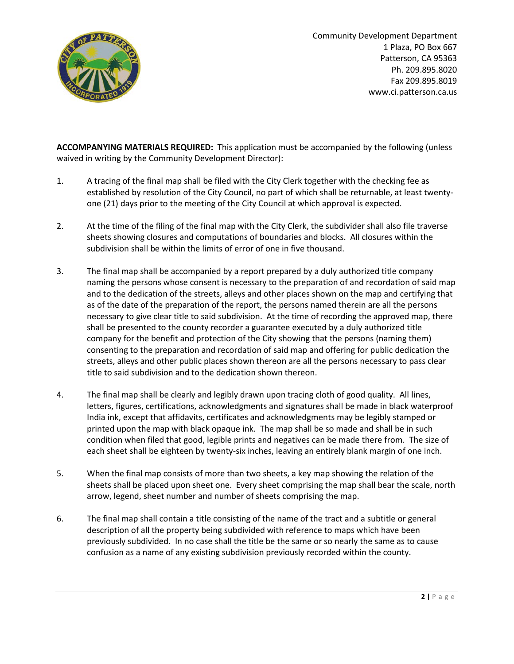

**ACCOMPANYING MATERIALS REQUIRED:** This application must be accompanied by the following (unless waived in writing by the Community Development Director):

- 1. A tracing of the final map shall be filed with the City Clerk together with the checking fee as established by resolution of the City Council, no part of which shall be returnable, at least twentyone (21) days prior to the meeting of the City Council at which approval is expected.
- 2. At the time of the filing of the final map with the City Clerk, the subdivider shall also file traverse sheets showing closures and computations of boundaries and blocks. All closures within the subdivision shall be within the limits of error of one in five thousand.
- 3. The final map shall be accompanied by a report prepared by a duly authorized title company naming the persons whose consent is necessary to the preparation of and recordation of said map and to the dedication of the streets, alleys and other places shown on the map and certifying that as of the date of the preparation of the report, the persons named therein are all the persons necessary to give clear title to said subdivision. At the time of recording the approved map, there shall be presented to the county recorder a guarantee executed by a duly authorized title company for the benefit and protection of the City showing that the persons (naming them) consenting to the preparation and recordation of said map and offering for public dedication the streets, alleys and other public places shown thereon are all the persons necessary to pass clear title to said subdivision and to the dedication shown thereon.
- 4. The final map shall be clearly and legibly drawn upon tracing cloth of good quality. All lines, letters, figures, certifications, acknowledgments and signatures shall be made in black waterproof India ink, except that affidavits, certificates and acknowledgments may be legibly stamped or printed upon the map with black opaque ink. The map shall be so made and shall be in such condition when filed that good, legible prints and negatives can be made there from. The size of each sheet shall be eighteen by twenty-six inches, leaving an entirely blank margin of one inch.
- 5. When the final map consists of more than two sheets, a key map showing the relation of the sheets shall be placed upon sheet one. Every sheet comprising the map shall bear the scale, north arrow, legend, sheet number and number of sheets comprising the map.
- 6. The final map shall contain a title consisting of the name of the tract and a subtitle or general description of all the property being subdivided with reference to maps which have been previously subdivided. In no case shall the title be the same or so nearly the same as to cause confusion as a name of any existing subdivision previously recorded within the county.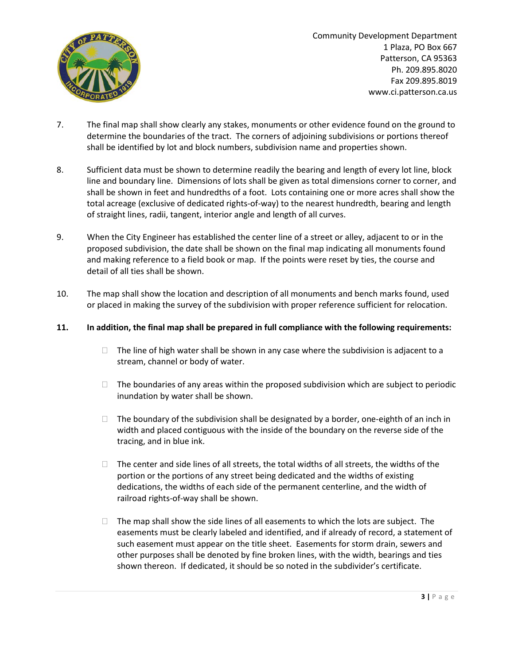

- 7. The final map shall show clearly any stakes, monuments or other evidence found on the ground to determine the boundaries of the tract. The corners of adjoining subdivisions or portions thereof shall be identified by lot and block numbers, subdivision name and properties shown.
- 8. Sufficient data must be shown to determine readily the bearing and length of every lot line, block line and boundary line. Dimensions of lots shall be given as total dimensions corner to corner, and shall be shown in feet and hundredths of a foot. Lots containing one or more acres shall show the total acreage (exclusive of dedicated rights-of-way) to the nearest hundredth, bearing and length of straight lines, radii, tangent, interior angle and length of all curves.
- 9. When the City Engineer has established the center line of a street or alley, adjacent to or in the proposed subdivision, the date shall be shown on the final map indicating all monuments found and making reference to a field book or map. If the points were reset by ties, the course and detail of all ties shall be shown.
- 10. The map shall show the location and description of all monuments and bench marks found, used or placed in making the survey of the subdivision with proper reference sufficient for relocation.

#### **11. In addition, the final map shall be prepared in full compliance with the following requirements:**

- $\Box$  The line of high water shall be shown in any case where the subdivision is adjacent to a stream, channel or body of water.
- $\Box$  The boundaries of any areas within the proposed subdivision which are subject to periodic inundation by water shall be shown.
- $\Box$  The boundary of the subdivision shall be designated by a border, one-eighth of an inch in width and placed contiguous with the inside of the boundary on the reverse side of the tracing, and in blue ink.
- $\Box$  The center and side lines of all streets, the total widths of all streets, the widths of the portion or the portions of any street being dedicated and the widths of existing dedications, the widths of each side of the permanent centerline, and the width of railroad rights-of-way shall be shown.
- $\Box$  The map shall show the side lines of all easements to which the lots are subject. The easements must be clearly labeled and identified, and if already of record, a statement of such easement must appear on the title sheet. Easements for storm drain, sewers and other purposes shall be denoted by fine broken lines, with the width, bearings and ties shown thereon. If dedicated, it should be so noted in the subdivider's certificate.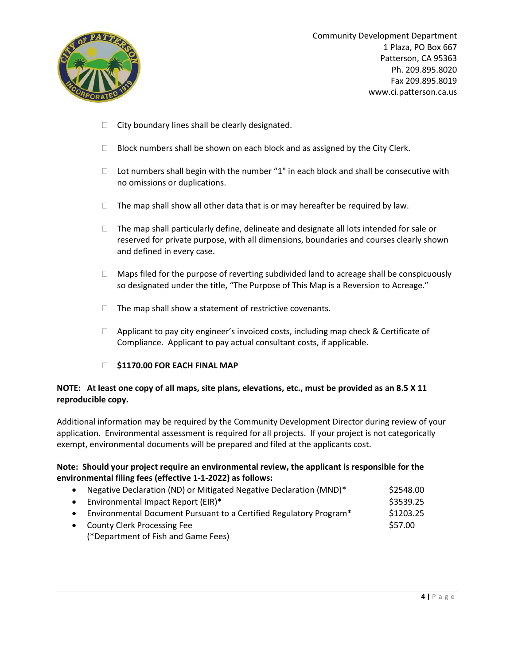

- $\Box$  City boundary lines shall be clearly designated.
- $\Box$  Block numbers shall be shown on each block and as assigned by the City Clerk.
- $\Box$  Lot numbers shall begin with the number "1" in each block and shall be consecutive with no omissions or duplications.
- $\Box$  The map shall show all other data that is or may hereafter be required by law.
- $\Box$  The map shall particularly define, delineate and designate all lots intended for sale or reserved for private purpose, with all dimensions, boundaries and courses clearly shown and defined in every case.
- Maps filed for the purpose of reverting subdivided land to acreage shall be conspicuously so designated under the title, "The Purpose of This Map is a Reversion to Acreage."
- $\Box$  The map shall show a statement of restrictive covenants.
- $\Box$  Applicant to pay city engineer's invoiced costs, including map check & Certificate of Compliance. Applicant to pay actual consultant costs, if applicable.
- **\$1170.00 FOR EACH FINAL MAP**

#### **NOTE: At least one copy of all maps, site plans, elevations, etc., must be provided as an 8.5 X 11 reproducible copy.**

Additional information may be required by the Community Development Director during review of your application. Environmental assessment is required for all projects. If your project is not categorically exempt, environmental documents will be prepared and filed at the applicants cost.

#### **Note: Should your project require an environmental review, the applicant is responsible for the environmental filing fees (effective 1-1-2022) as follows:**

|           | Negative Declaration (ND) or Mitigated Negative Declaration (MND)* | \$2548.00 |
|-----------|--------------------------------------------------------------------|-----------|
| $\bullet$ | Environmental Impact Report (EIR)*                                 | \$3539.25 |
|           | Environmental Document Pursuant to a Certified Regulatory Program* | \$1203.25 |
|           | <b>County Clerk Processing Fee</b>                                 | \$57.00   |
|           | (*Department of Fish and Game Fees)                                |           |